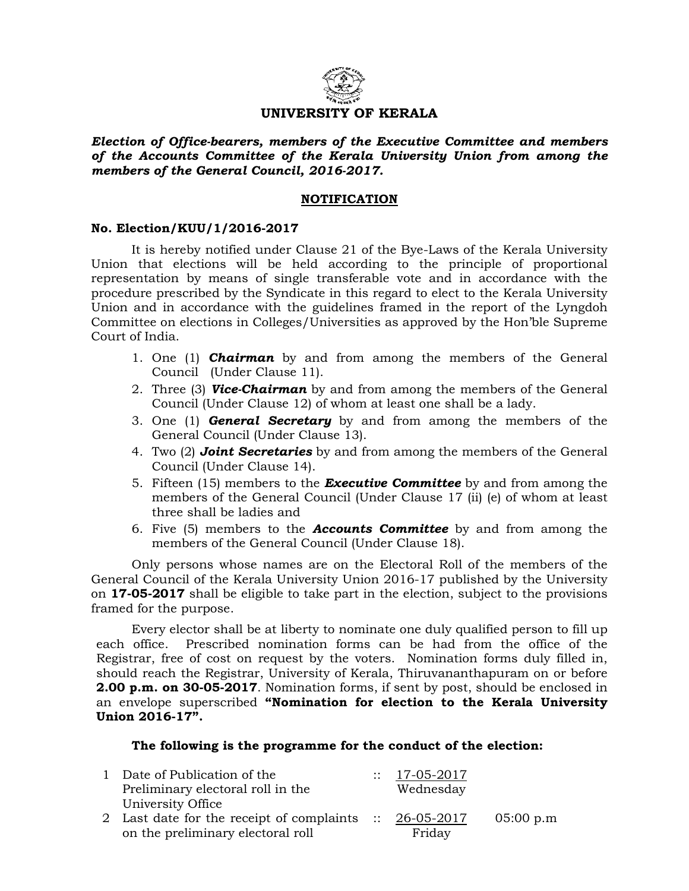

# UNIVERSITY OF KERALA

Election of Office-bearers, members of the Executive Committee and members of the Accounts Committee of the Kerala University Union from among the members of the General Council, 2016-2017.

## NOTIFICATION

## No. Election/KUU/1/2016-2017

 It is hereby notified under Clause 21 of the Bye-Laws of the Kerala University Union that elections will be held according to the principle of proportional representation by means of single transferable vote and in accordance with the procedure prescribed by the Syndicate in this regard to elect to the Kerala University Union and in accordance with the guidelines framed in the report of the Lyngdoh Committee on elections in Colleges/Universities as approved by the Hon'ble Supreme Court of India.

- 1. One (1) **Chairman** by and from among the members of the General Council (Under Clause 11).
- 2. Three (3) Vice-Chairman by and from among the members of the General Council (Under Clause 12) of whom at least one shall be a lady.
- 3. One  $(1)$  **General Secretary** by and from among the members of the General Council (Under Clause 13).
- 4. Two (2) **Joint Secretaries** by and from among the members of the General Council (Under Clause 14).
- 5. Fifteen (15) members to the **Executive Committee** by and from among the members of the General Council (Under Clause 17 (ii) (e) of whom at least three shall be ladies and
- 6. Five  $(5)$  members to the **Accounts Committee** by and from among the members of the General Council (Under Clause 18).

Only persons whose names are on the Electoral Roll of the members of the General Council of the Kerala University Union 2016-17 published by the University on 17-05-2017 shall be eligible to take part in the election, subject to the provisions framed for the purpose.

 Every elector shall be at liberty to nominate one duly qualified person to fill up each office. Prescribed nomination forms can be had from the office of the Registrar, free of cost on request by the voters. Nomination forms duly filled in, should reach the Registrar, University of Kerala, Thiruvananthapuram on or before 2.00 p.m. on 30-05-2017. Nomination forms, if sent by post, should be enclosed in an envelope superscribed "Nomination for election to the Kerala University Union 2016-17".

### The following is the programme for the conduct of the election:

| 1 Date of Publication of the                            | $\therefore$ 17-05-2017 |           |
|---------------------------------------------------------|-------------------------|-----------|
| Preliminary electoral roll in the                       | Wednesday               |           |
| University Office                                       |                         |           |
| 2 Last date for the receipt of complaints :: 26-05-2017 |                         | 05:00 p.m |
| on the preliminary electoral roll                       | Friday                  |           |